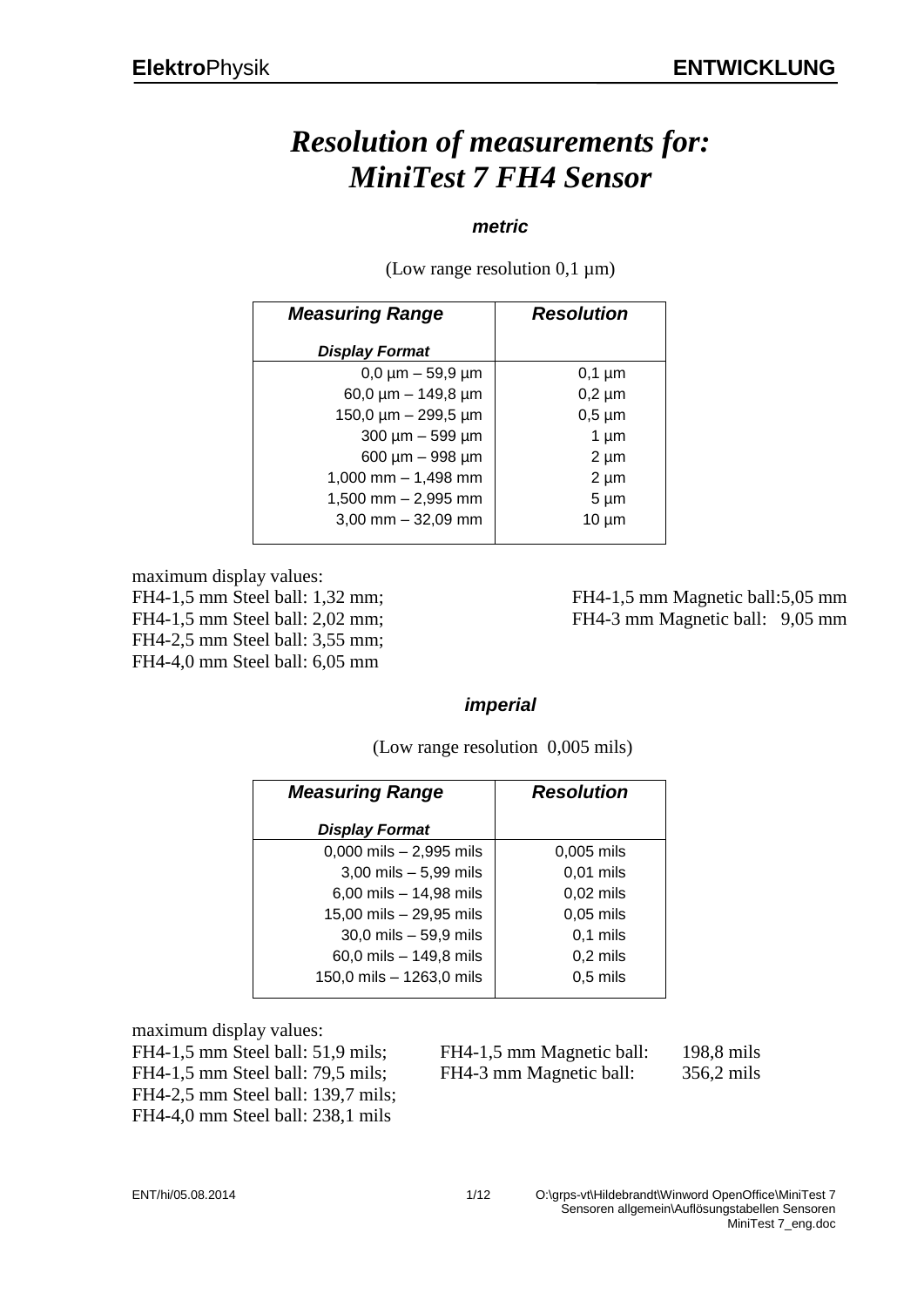### *Resolution of measurements for: MiniTest 7 FH4 Sensor*

#### *metric*

(Low range resolution  $0.1 \mu m$ )

| <b>Measuring Range</b>        | <b>Resolution</b> |  |
|-------------------------------|-------------------|--|
| <b>Display Format</b>         |                   |  |
| $0,0 \mu m - 59,9 \mu m$      | $0,1 \mu m$       |  |
| 60,0 $\mu$ m - 149,8 $\mu$ m  | $0,2 \mu m$       |  |
| 150,0 $\mu$ m – 299,5 $\mu$ m | $0,5 \mu m$       |  |
| 300 µm - 599 µm               | 1 $\mu$ m         |  |
| 600 µm - 998 µm               | $2 \mu m$         |  |
| 1,000 mm $-$ 1,498 mm         | $2 \mu m$         |  |
| $1,500$ mm $- 2,995$ mm       | $5 \mu m$         |  |
| $3,00$ mm $-32,09$ mm         | $10 \mu m$        |  |
|                               |                   |  |

maximum display values:

FH4-2,5 mm Steel ball: 3,55 mm; FH4-4,0 mm Steel ball: 6,05 mm

FH4-1,5 mm Steel ball: 1,32 mm; FH4-1,5 mm Magnetic ball:5,05 mm FH4-1,5 mm Steel ball: 2,02 mm; FH4-3 mm Magnetic ball: 9,05 mm

#### *imperial*

| <b>Measuring Range</b>      | <b>Resolution</b> |  |
|-----------------------------|-------------------|--|
| <b>Display Format</b>       |                   |  |
| $0,000$ mils $- 2,995$ mils | $0.005$ mils      |  |
| $3,00$ mils $-5,99$ mils    | $0,01$ mils       |  |
| 6,00 mils $- 14,98$ mils    | $0,02$ mils       |  |
| 15,00 mils - 29,95 mils     | $0,05$ mils       |  |
| $30,0$ mils $-59,9$ mils    | $0,1$ mils        |  |
| 60,0 mils - 149,8 mils      | $0,2$ mils        |  |
| 150,0 mils - 1263,0 mils    | $0,5$ mils        |  |

(Low range resolution 0,005 mils)

maximum display values:

FH4-2,5 mm Steel ball: 139,7 mils; FH4-4,0 mm Steel ball: 238,1 mils

FH4-1,5 mm Steel ball: 51,9 mils; FH4-1,5 mm Magnetic ball: 198,8 mils FH4-1,5 mm Steel ball: 79,5 mils; FH4-3 mm Magnetic ball: 356,2 mils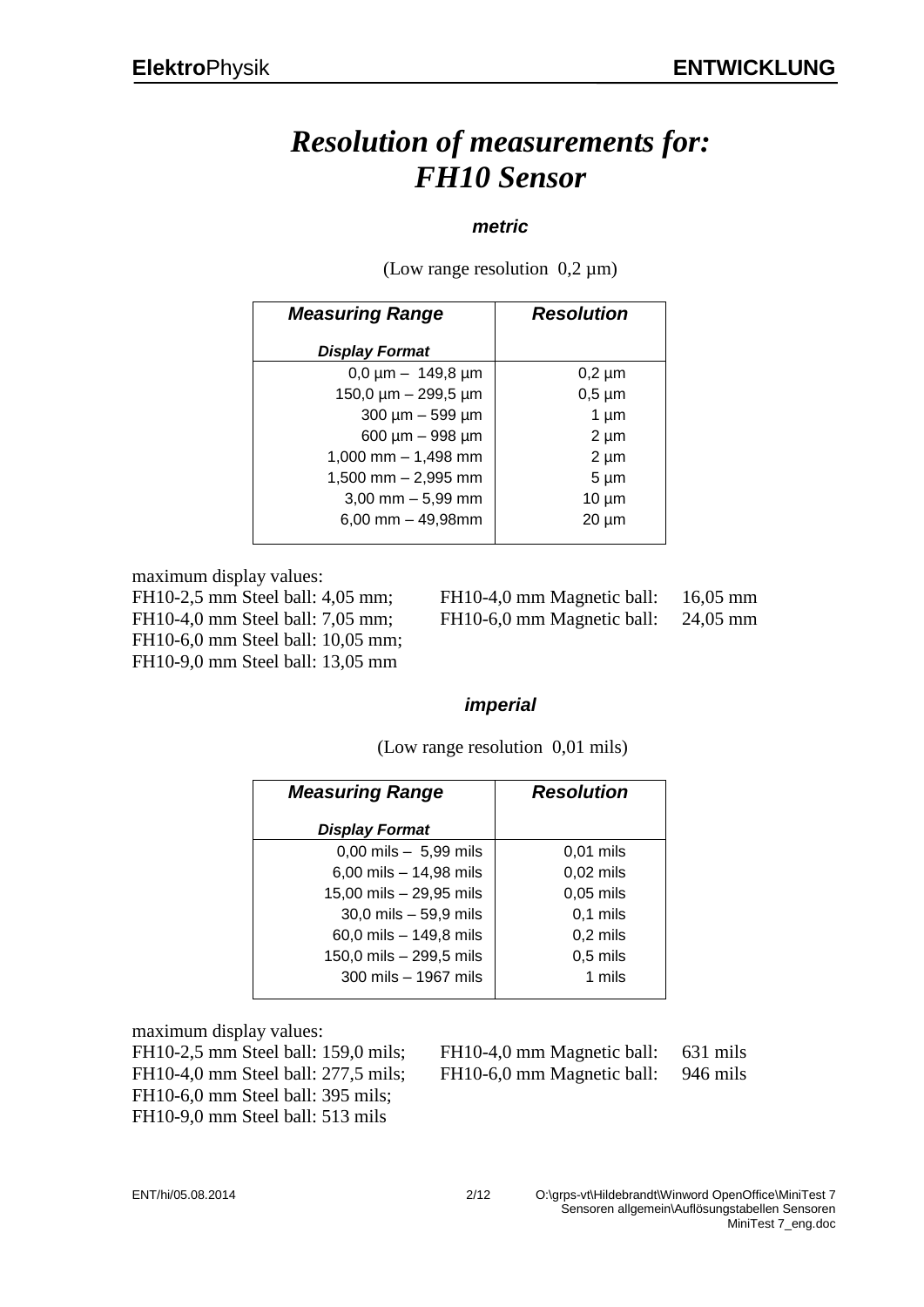### *Resolution of measurements for: FH10 Sensor*

#### *metric*

(Low range resolution  $0.2 \mu m$ )

| <b>Measuring Range</b>    | <b>Resolution</b> |
|---------------------------|-------------------|
| <b>Display Format</b>     |                   |
| $0,0 \mu m - 149,8 \mu m$ | $0,2 \mu m$       |
| 150,0 µm - 299,5 µm       | $0,5 \mu m$       |
| $300 \mu m - 599 \mu m$   | $1 \mu m$         |
| 600 µm - 998 µm           | $2 \mu m$         |
| 1,000 mm $-$ 1,498 mm     | $2 \mu m$         |
| $1,500$ mm $- 2,995$ mm   | $5 \mu m$         |
| $3,00$ mm $-5,99$ mm      | $10 \mu m$        |
| $6,00$ mm $-49,98$ mm     | $20 \mu m$        |

maximum display values:

FH10-6,0 mm Steel ball: 10,05 mm; FH10-9,0 mm Steel ball: 13,05 mm

FH10-2,5 mm Steel ball: 4,05 mm; FH10-4,0 mm Magnetic ball: 16,05 mm FH10-4,0 mm Steel ball: 7,05 mm; FH10-6,0 mm Magnetic ball: 24,05 mm

#### *imperial*

(Low range resolution 0,01 mils)

| <b>Measuring Range</b>                    | <b>Resolution</b> |  |
|-------------------------------------------|-------------------|--|
| <b>Display Format</b>                     |                   |  |
| $0,00 \text{ miles} - 5,99 \text{ miles}$ | $0,01$ mils       |  |
| 6,00 mils $- 14,98$ mils                  | $0,02$ mils       |  |
| 15,00 mils - 29,95 mils                   | $0,05$ mils       |  |
| $30,0$ mils $-59,9$ mils                  | $0,1$ mils        |  |
| 60,0 mils $- 149.8$ mils                  | $0,2$ mils        |  |
| 150,0 mils - 299,5 mils                   | $0,5$ mils        |  |
| 300 mils $-$ 1967 mils                    | 1 mils            |  |

maximum display values:

FH10-6,0 mm Steel ball: 395 mils; FH10-9,0 mm Steel ball: 513 mils

FH10-2,5 mm Steel ball: 159,0 mils; FH10-4,0 mm Magnetic ball: 631 mils FH10-4,0 mm Steel ball: 277,5 mils; FH10-6,0 mm Magnetic ball: 946 mils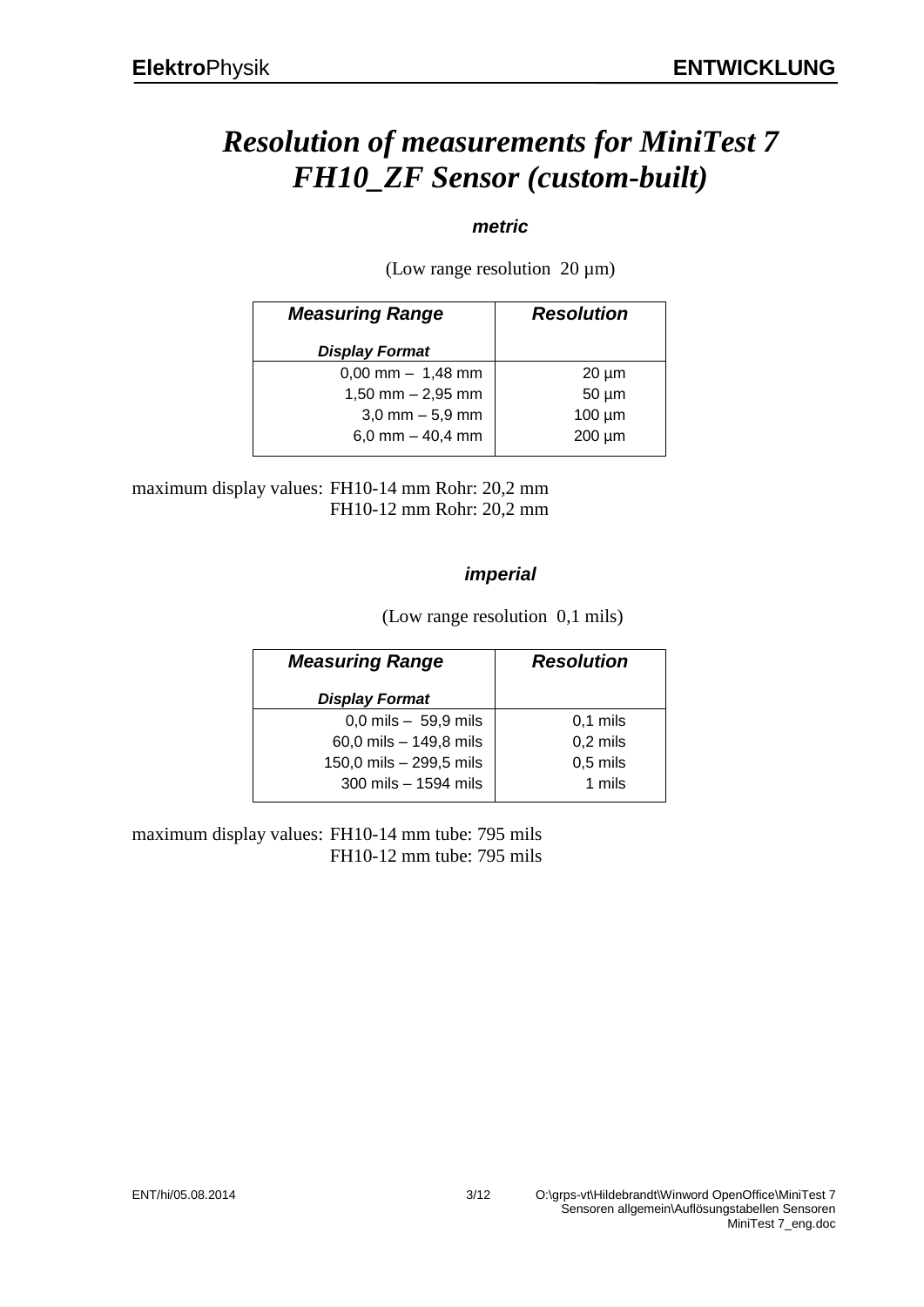# *Resolution of measurements for MiniTest 7 FH10\_ZF Sensor (custom-built)*

### *metric*

(Low range resolution  $20 \mu m$ )

| <b>Measuring Range</b> | <b>Resolution</b> |  |
|------------------------|-------------------|--|
| <b>Display Format</b>  |                   |  |
| $0,00$ mm $- 1,48$ mm  | $20 \mu m$        |  |
| $1,50$ mm $- 2,95$ mm  | $50 \mu m$        |  |
| $3,0$ mm $-5,9$ mm     | $100 \mu m$       |  |
| 6,0 mm $-$ 40,4 mm     | 200 µm            |  |

maximum display values: FH10-14 mm Rohr: 20,2 mm FH10-12 mm Rohr: 20,2 mm

### *imperial*

(Low range resolution 0,1 mils)

| <b>Measuring Range</b>  | <b>Resolution</b> |  |
|-------------------------|-------------------|--|
| <b>Display Format</b>   |                   |  |
| $0,0$ mils $-59,9$ mils | $0,1$ mils        |  |
| 60,0 mils - 149,8 mils  | $0,2$ mils        |  |
| 150,0 mils - 299,5 mils | $0,5$ mils        |  |
| 300 mils - 1594 mils    | 1 mils            |  |

maximum display values: FH10-14 mm tube: 795 mils FH10-12 mm tube: 795 mils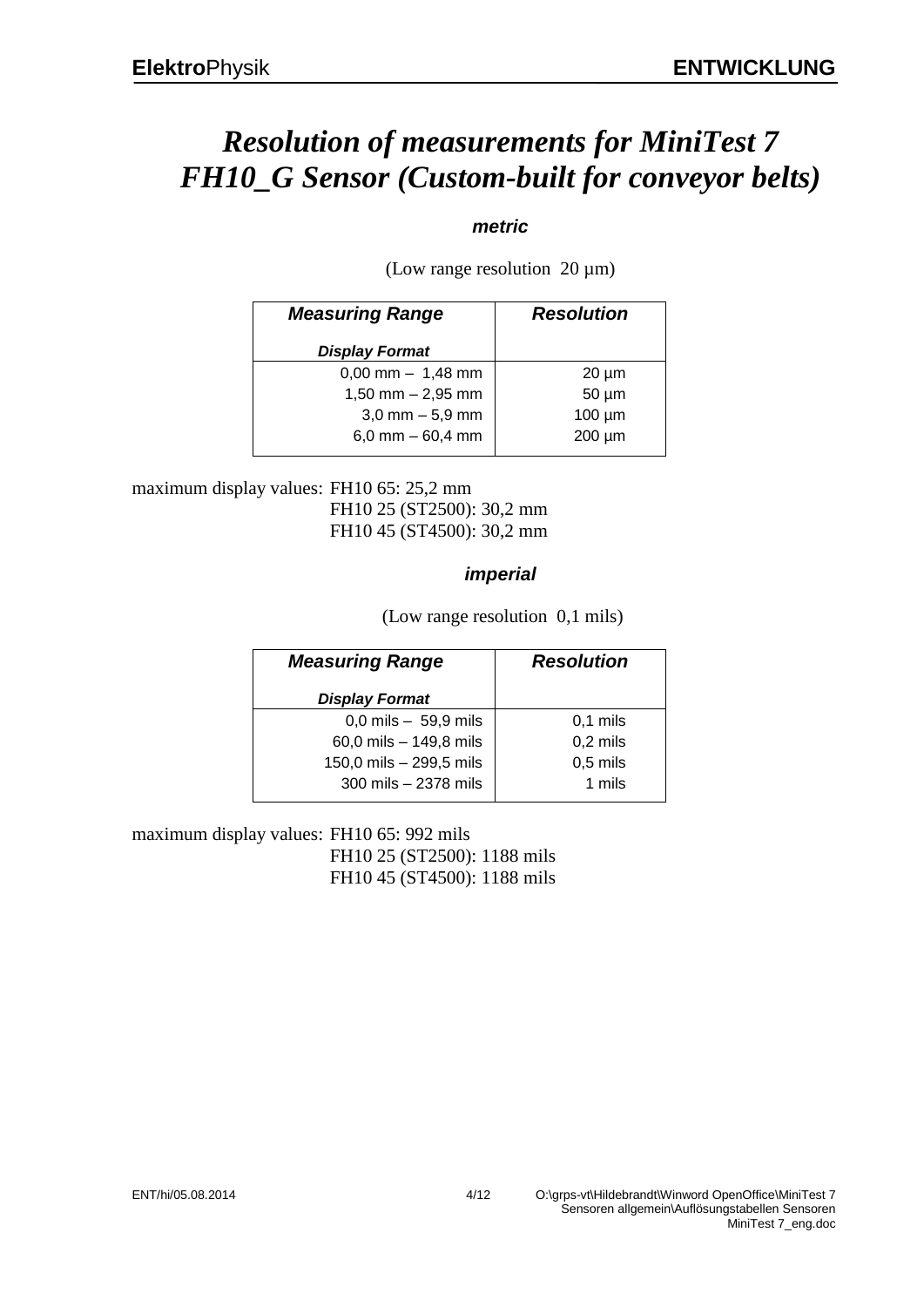# *Resolution of measurements for MiniTest 7 FH10\_G Sensor (Custom-built for conveyor belts)*

### *metric*

(Low range resolution  $20 \mu m$ )

| <b>Measuring Range</b> | <b>Resolution</b> |  |
|------------------------|-------------------|--|
| <b>Display Format</b>  |                   |  |
| $0,00$ mm $- 1,48$ mm  | $20 \mu m$        |  |
| $1,50$ mm $- 2,95$ mm  | $50 \mu m$        |  |
| $3,0$ mm $-5,9$ mm     | $100 \mu m$       |  |
| 6,0 mm $-60,4$ mm      | 200 µm            |  |

maximum display values: FH10 65: 25,2 mm FH10 25 (ST2500): 30,2 mm FH10 45 (ST4500): 30,2 mm

### *imperial*

(Low range resolution 0,1 mils)

| <b>Measuring Range</b>  | <b>Resolution</b> |  |
|-------------------------|-------------------|--|
| <b>Display Format</b>   |                   |  |
| $0,0$ mils $-59,9$ mils | $0,1$ mils        |  |
| 60,0 mils - 149,8 mils  | $0,2$ mils        |  |
| 150,0 mils - 299,5 mils | $0,5$ mils        |  |
| 300 mils - 2378 mils    | 1 mils            |  |

maximum display values: FH10 65: 992 mils FH10 25 (ST2500): 1188 mils FH10 45 (ST4500): 1188 mils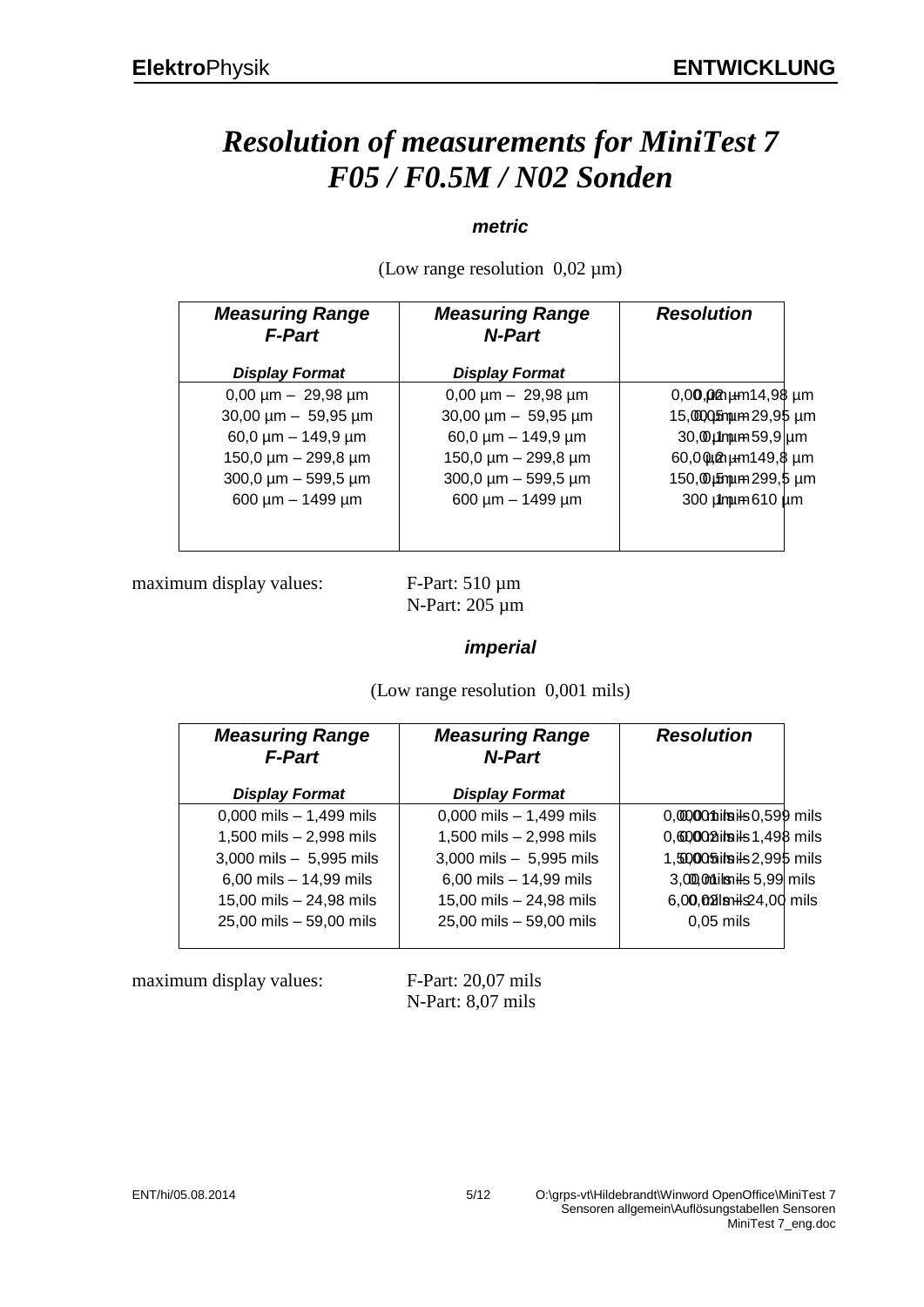# *Resolution of measurements for MiniTest 7 F05 / F0.5M / N02 Sonden*

### *metric*

| <b>Measuring Range</b><br><b>F-Part</b> | <b>Measuring Range</b><br><b>N-Part</b> | <b>Resolution</b>                 |
|-----------------------------------------|-----------------------------------------|-----------------------------------|
| <b>Display Format</b>                   | <b>Display Format</b>                   |                                   |
| $0,00 \mu m - 29,98 \mu m$              | $0,00 \mu m - 29,98 \mu m$              | $0,00,00$ $\mu$ m $14,98$ $\mu$ m |
| $30,00 \mu m - 59,95 \mu m$             | $30,00 \mu m - 59,95 \mu m$             | 15,0000 mm 29,95 um               |
| $60,0 \mu m - 149,9 \mu m$              | 60,0 $\mu$ m – 149,9 $\mu$ m            | $30,0$ umum 59,9 um               |
| 150,0 $\mu$ m - 299,8 $\mu$ m           | 150,0 µm - 299,8 µm                     | 60,000 pm 149,8 µm                |
| $300,0 \mu m - 599,5 \mu m$             | $300,0 \mu m - 599,5 \mu m$             | 150, @µ5mum 299, 5 µm             |
| $600 \mu m - 1499 \mu m$                | $600 \mu m - 1499 \mu m$                | 300 µmum 610 µm                   |
|                                         |                                         |                                   |
|                                         |                                         |                                   |

(Low range resolution  $0.02 \mu m$ )

maximum display values: F-Part: 510 µm

N-Part: 205 µm

### *imperial*

(Low range resolution 0,001 mils)

| <b>Measuring Range</b><br><b>F-Part</b> | <b>Measuring Range</b><br>N-Part | <b>Resolution</b>          |  |
|-----------------------------------------|----------------------------------|----------------------------|--|
| <b>Display Format</b>                   | <b>Display Format</b>            |                            |  |
| $0,000$ mils $- 1,499$ mils             | $0,000$ mils $-1,499$ mils       | 0,00000 miles 0,599 mils   |  |
| 1,500 mils - 2,998 mils                 | 1,500 mils - 2,998 mils          | 0,600002itsils 1,498 mils  |  |
| 3,000 mils $-5,995$ mils                | 3,000 mils $-5,995$ mils         | 1,50005 itsils 2,995 mils  |  |
| 6,00 mils $- 14,99$ mils                | 6,00 mils $- 14,99$ mils         | $3,000$ Milsnils 5,99 mils |  |
| 15,00 mils - 24,98 mils                 | 15,00 mils - 24,98 mils          | 6,00,02 lsnils 24,00 mils  |  |
| 25,00 mils - 59,00 mils                 | 25,00 mils - 59,00 mils          | $0,05$ mils                |  |
|                                         |                                  |                            |  |

maximum display values: F-Part: 20,07 mils

N-Part: 8,07 mils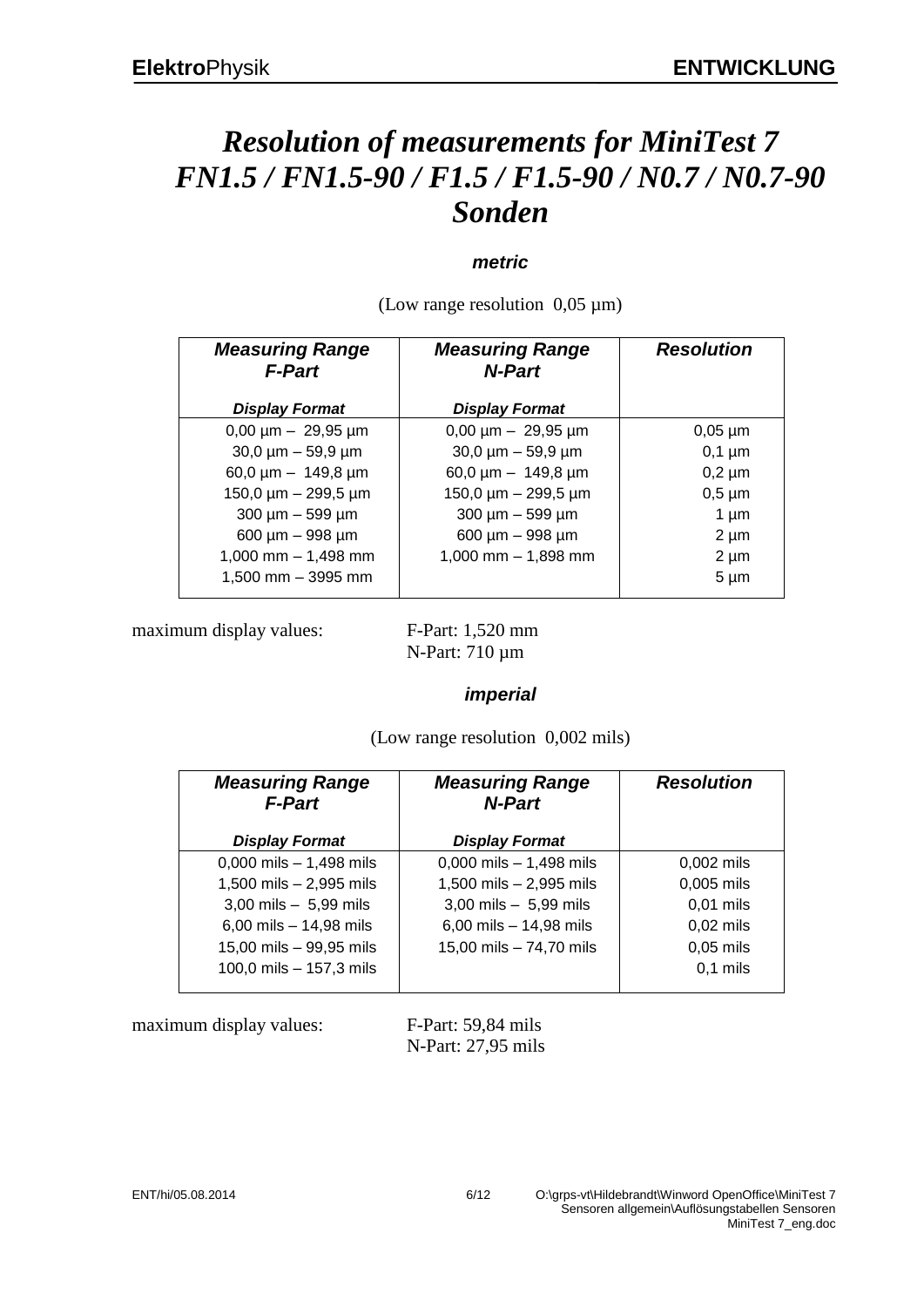# *Resolution of measurements for MiniTest 7 FN1.5 / FN1.5-90 / F1.5 / F1.5-90 / N0.7 / N0.7-90 Sonden*

#### *metric*

(Low range resolution  $0.05 \mu m$ )

| <b>Measuring Range</b><br><b>F-Part</b> | <b>Measuring Range</b><br>N-Part | <b>Resolution</b> |
|-----------------------------------------|----------------------------------|-------------------|
| <b>Display Format</b>                   | <b>Display Format</b>            |                   |
| $0,00 \mu m - 29,95 \mu m$              | $0,00 \mu m - 29,95 \mu m$       | $0,05 \mu m$      |
| $30,0 \mu m - 59,9 \mu m$               | $30,0 \mu m - 59,9 \mu m$        | $0,1 \mu m$       |
| 60,0 $\mu$ m - 149,8 $\mu$ m            | 60,0 $\mu$ m - 149,8 $\mu$ m     | $0,2 \mu m$       |
| $150,0 \mu m - 299,5 \mu m$             | $150,0 \mu m - 299,5 \mu m$      | $0,5 \mu m$       |
| $300 \mu m - 599 \mu m$                 | $300 \mu m - 599 \mu m$          | $1 \mu m$         |
| $600 \mu m - 998 \mu m$                 | 600 µm - 998 µm                  | $2 \mu m$         |
| 1,000 mm $-$ 1,498 mm                   | $1,000$ mm $- 1,898$ mm          | $2 \mu m$         |
| 1,500 mm - 3995 mm                      |                                  | $5 \mu m$         |

maximum display values: F-Part: 1,520 mm

N-Part: 710 µm

#### *imperial*

(Low range resolution 0,002 mils)

| <b>Measuring Range</b><br><b>F-Part</b> | <b>Measuring Range</b><br><b>N-Part</b> | <b>Resolution</b> |
|-----------------------------------------|-----------------------------------------|-------------------|
| <b>Display Format</b>                   | <b>Display Format</b>                   |                   |
| $0,000$ mils $- 1,498$ mils             | $0,000$ mils $-1,498$ mils              | $0,002$ mils      |
| 1,500 mils $- 2,995$ mils               | 1,500 mils - 2,995 mils                 | 0,005 mils        |
| 3,00 mils $-5,99$ mils                  | $3,00$ mils $-5,99$ mils                | $0,01$ mils       |
| 6,00 mils - 14,98 mils                  | 6,00 mils $- 14,98$ mils                | $0,02$ mils       |
| 15,00 mils - 99,95 mils                 | 15,00 mils - 74,70 mils                 | $0,05$ mils       |
| 100,0 mils - 157,3 mils                 |                                         | $0,1$ mils        |

maximum display values: F-Part: 59,84 mils

N-Part: 27,95 mils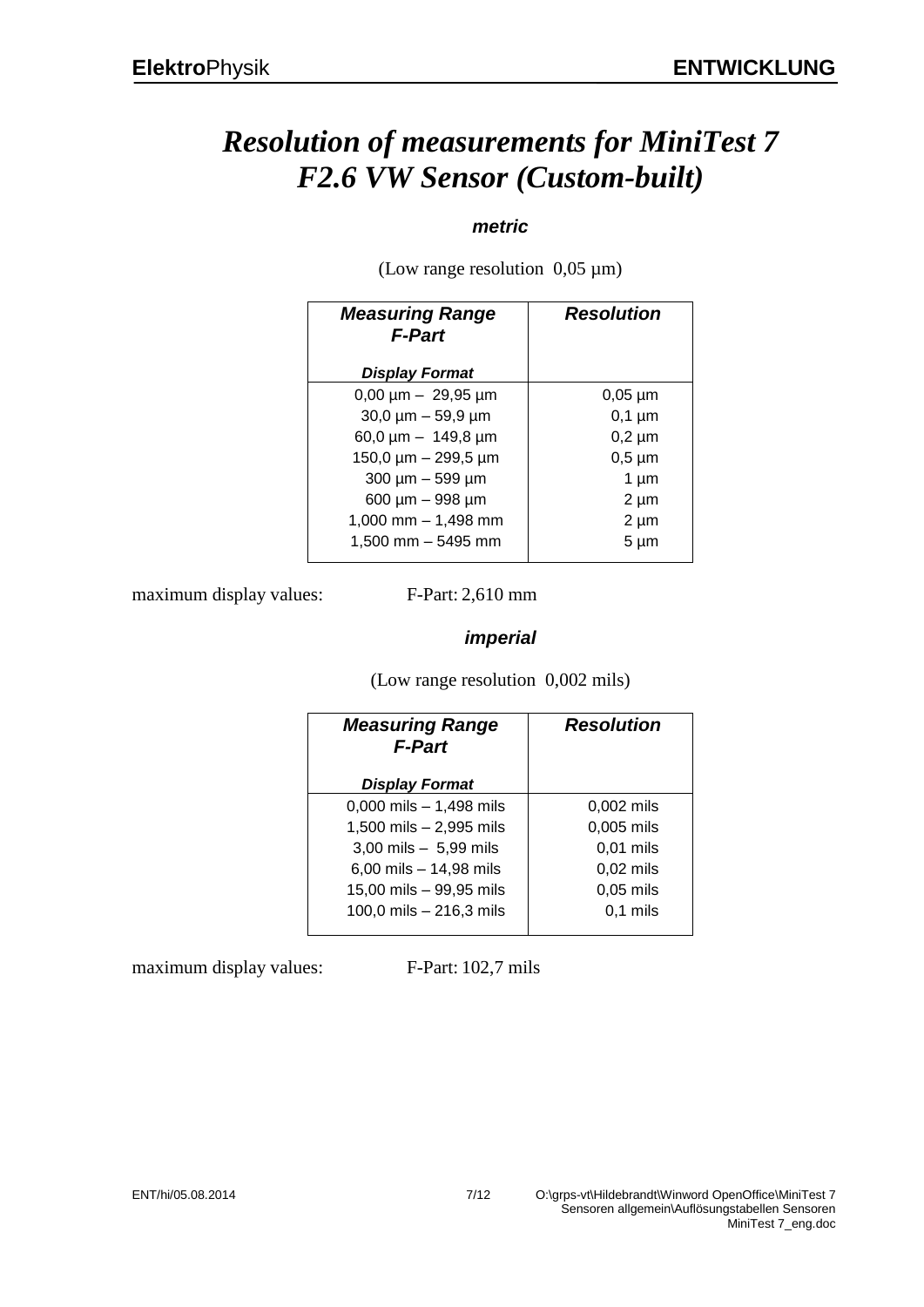# *Resolution of measurements for MiniTest 7 F2.6 VW Sensor (Custom-built)*

### *metric*

(Low range resolution 0,05 µm)

| <b>Measuring Range</b><br><b>F-Part</b> | <b>Resolution</b> |
|-----------------------------------------|-------------------|
| <b>Display Format</b>                   |                   |
| $0,00 \mu m - 29,95 \mu m$              | $0,05 \mu m$      |
| $30,0 \mu m - 59,9 \mu m$               | $0,1 \mu m$       |
| 60,0 $\mu$ m - 149,8 $\mu$ m            | $0,2 \mu m$       |
| 150,0 $\mu$ m - 299,5 $\mu$ m           | $0,5 \mu m$       |
| 300 µm - 599 µm                         | $1 \mu m$         |
| 600 µm - 998 µm                         | $2 \mu m$         |
| $1,000$ mm $- 1,498$ mm                 | $2 \mu m$         |
| 1,500 mm - 5495 mm                      | $5 \mu m$         |

maximum display values: F-Part: 2,610 mm

### *imperial*

(Low range resolution 0,002 mils)

| <b>Measuring Range</b><br><b>F-Part</b> | <b>Resolution</b> |
|-----------------------------------------|-------------------|
| <b>Display Format</b>                   |                   |
| 0,000 mils $- 1,498$ mils               | 0,002 mils        |
| 1,500 mils - 2,995 mils                 | 0,005 mils        |
| $3,00$ mils $-5,99$ mils                | $0,01$ mils       |
| 6,00 mils $- 14,98$ mils                | 0,02 mils         |
| 15,00 mils - 99,95 mils                 | $0,05$ mils       |
| 100,0 mils - 216,3 mils                 | $0,1$ mils        |

maximum display values: F-Part: 102,7 mils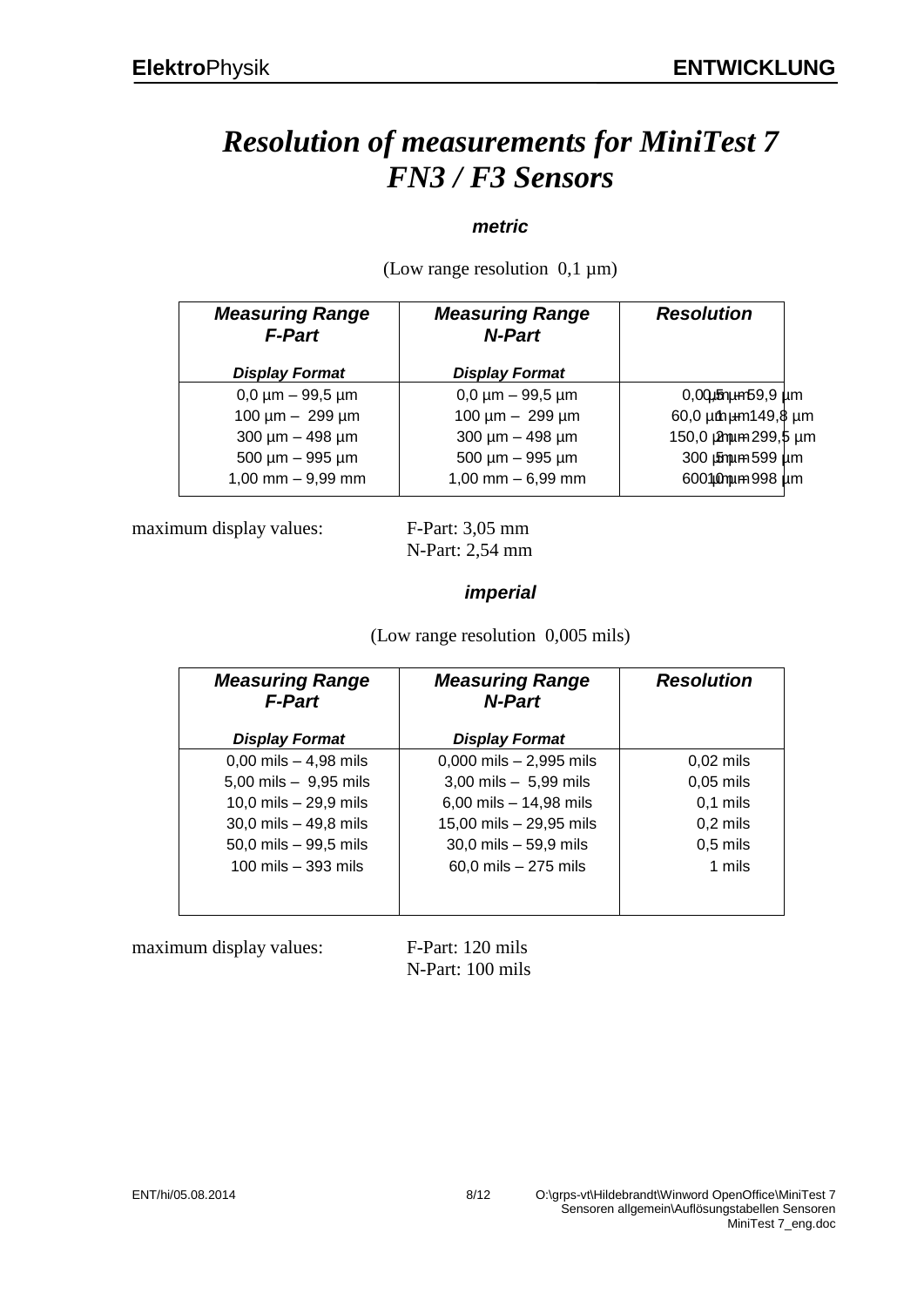# *Resolution of measurements for MiniTest 7 FN3 / F3 Sensors*

### *metric*

| <b>Measuring Range</b><br><b>F-Part</b> | <b>Measuring Range</b><br><b>N-Part</b> | <b>Resolution</b>    |
|-----------------------------------------|-----------------------------------------|----------------------|
| <b>Display Format</b>                   | <b>Display Format</b>                   |                      |
| $0,0 \mu m - 99,5 \mu m$                | $0,0 \mu m - 99,5 \mu m$                | $0,00$ umphpm59,9 um |
| $100 \mu m - 299 \mu m$                 | 100 $\mu$ m - 299 $\mu$ m               | 60,0 um um 149,8 um  |
| $300 \mu m - 498 \mu m$                 | $300 \mu m - 498 \mu m$                 | 150,0 µmum 299,5 µm  |
| $500 \mu m - 995 \mu m$                 | $500 \mu m - 995 \mu m$                 | 300 pm m 599 pm      |
| $1,00$ mm $-9,99$ mm                    | $1,00$ mm $-6,99$ mm                    | 6001 Mm m 998 um     |
|                                         |                                         |                      |

(Low range resolution  $0,1 \mu m$ )

maximum display values: F-Part: 3,05 mm

N-Part: 2,54 mm

### *imperial*

(Low range resolution 0,005 mils)

| <b>Measuring Range</b><br><b>F-Part</b>   | <b>Measuring Range</b><br>N-Part | <b>Resolution</b> |
|-------------------------------------------|----------------------------------|-------------------|
| <b>Display Format</b>                     | <b>Display Format</b>            |                   |
| $0,00 \text{ miles} - 4,98 \text{ miles}$ | $0,000$ mils $- 2,995$ mils      | $0,02$ mils       |
| 5,00 mils $-9,95$ mils                    | $3,00$ mils $-5,99$ mils         | $0,05$ mils       |
| 10,0 mils $- 29.9$ mils                   | 6,00 mils $- 14,98$ mils         | $0,1$ mils        |
| 30,0 mils $-$ 49,8 mils                   | 15,00 mils - 29,95 mils          | $0,2$ mils        |
| 50,0 mils - 99,5 mils                     | $30,0$ mils $-59,9$ mils         | $0,5$ mils        |
| 100 mils $-$ 393 mils                     | $60,0$ mils $-275$ mils          | 1 mils            |
|                                           |                                  |                   |
|                                           |                                  |                   |

maximum display values: F-Part: 120 mils

N-Part: 100 mils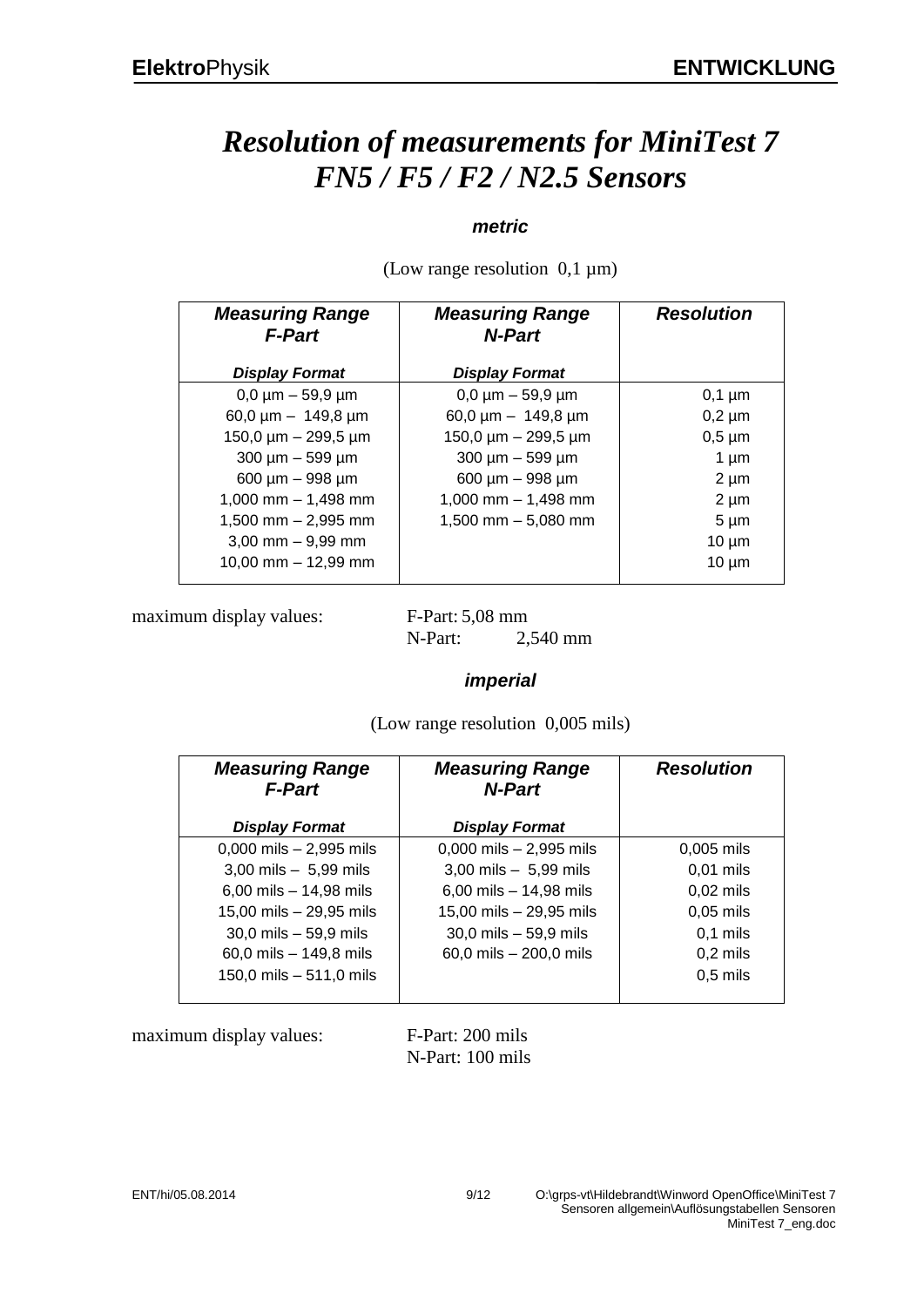# *Resolution of measurements for MiniTest 7 FN5 / F5 / F2 / N2.5 Sensors*

### *metric*

(Low range resolution  $0,1 \mu m$ )

| <b>Measuring Range</b><br><b>F-Part</b> | <b>Measuring Range</b><br>N-Part | <b>Resolution</b> |
|-----------------------------------------|----------------------------------|-------------------|
| <b>Display Format</b>                   | <b>Display Format</b>            |                   |
| $0,0 \mu m - 59,9 \mu m$                | $0,0 \mu m - 59,9 \mu m$         | $0,1 \mu m$       |
| 60,0 $\mu$ m - 149,8 $\mu$ m            | 60,0 $\mu$ m - 149,8 $\mu$ m     | $0,2 \mu m$       |
| 150,0 $\mu$ m - 299,5 $\mu$ m           | 150,0 $\mu$ m - 299,5 $\mu$ m    | $0,5 \mu m$       |
| $300 \mu m - 599 \mu m$                 | $300 \mu m - 599 \mu m$          | $1 \mu m$         |
| $600 \mu m - 998 \mu m$                 | $600 \mu m - 998 \mu m$          | $2 \mu m$         |
| 1,000 mm $-$ 1,498 mm                   | 1,000 mm $-$ 1,498 mm            | $2 \mu m$         |
| $1,500$ mm $- 2,995$ mm                 | 1,500 mm $-$ 5,080 mm            | $5 \mu m$         |
| $3,00$ mm $-9,99$ mm                    |                                  | $10 \mu m$        |
| $10,00$ mm $- 12,99$ mm                 |                                  | $10 \mu m$        |
|                                         |                                  |                   |

maximum display values: F-Part: 5,08 mm

N-Part: 2,540 mm

#### *imperial*

(Low range resolution 0,005 mils)

| <b>Measuring Range</b><br><b>F-Part</b> | <b>Measuring Range</b><br><b>N-Part</b> | <b>Resolution</b> |
|-----------------------------------------|-----------------------------------------|-------------------|
| <b>Display Format</b>                   | <b>Display Format</b>                   |                   |
| $0,000$ mils $- 2,995$ mils             | $0,000$ mils $- 2,995$ mils             | $0,005$ mils      |
| $3,00$ mils $-5,99$ mils                | $3,00$ mils $-5,99$ mils                | $0,01$ mils       |
| 6,00 mils $- 14,98$ mils                | 6,00 mils $- 14,98$ mils                | $0,02$ mils       |
| 15,00 mils - 29,95 mils                 | 15,00 mils - 29,95 mils                 | $0,05$ mils       |
| $30,0$ mils $-59,9$ mils                | $30,0$ mils $-59,9$ mils                | $0.1$ mils        |
| 60,0 mils $-$ 149,8 mils                | 60,0 mils - 200,0 mils                  | $0,2$ mils        |
| 150,0 mils - 511,0 mils                 |                                         | $0,5$ mils        |

maximum display values: F-Part: 200 mils

N-Part: 100 mils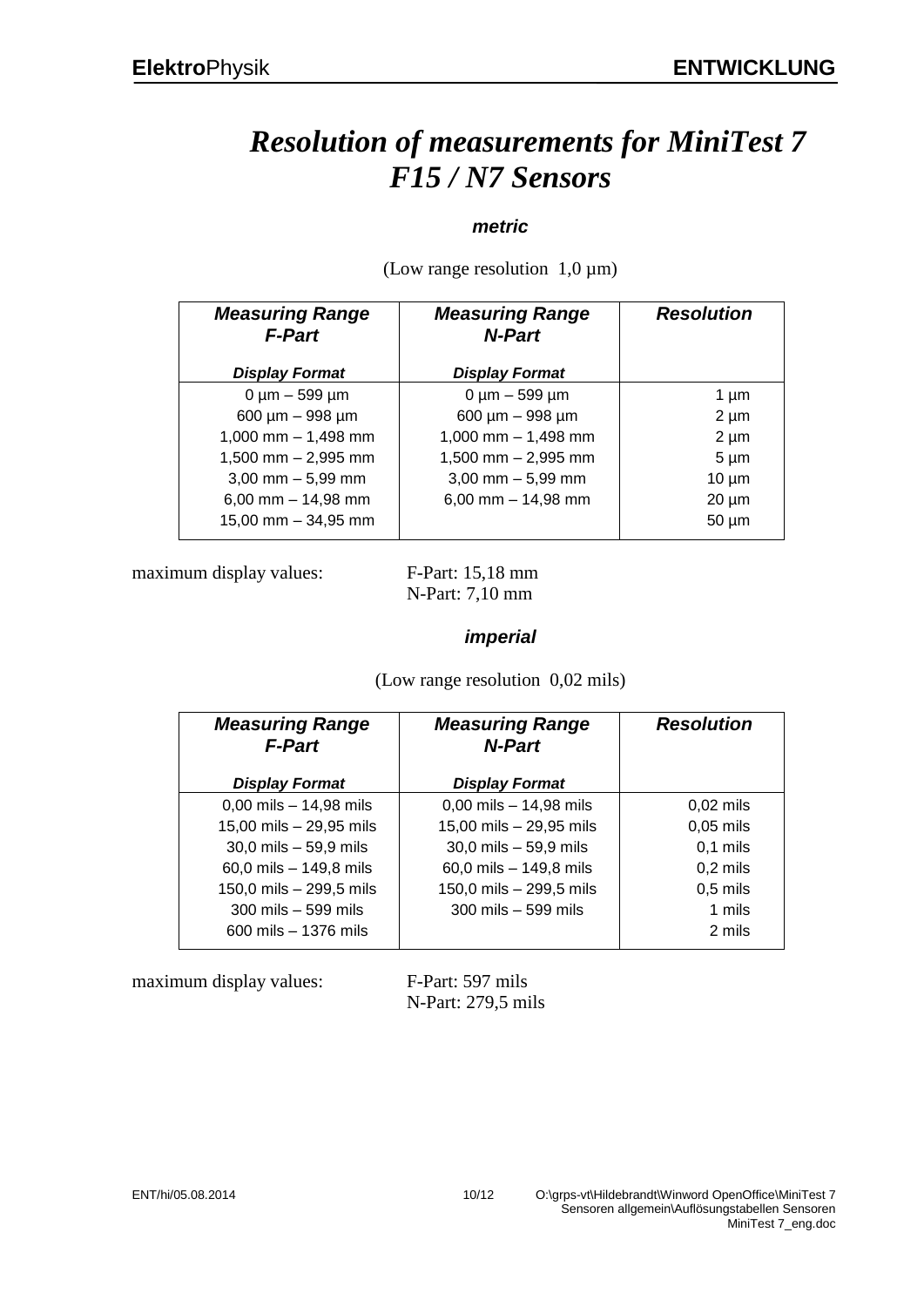# *Resolution of measurements for MiniTest 7 F15 / N7 Sensors*

### *metric*

(Low range resolution  $1,0 \mu m$ )

| <b>Measuring Range</b><br><b>F-Part</b> | <b>Measuring Range</b><br>N-Part | <b>Resolution</b> |
|-----------------------------------------|----------------------------------|-------------------|
| <b>Display Format</b>                   | <b>Display Format</b>            |                   |
| $0 \mu m - 599 \mu m$                   | $0 \mu m - 599 \mu m$            | 1 um              |
| 600 µm - 998 µm                         | 600 µm - 998 µm                  | $2 \mu m$         |
| 1,000 mm $-$ 1,498 mm                   | $1,000$ mm $- 1,498$ mm          | $2 \mu m$         |
| $1,500$ mm $- 2,995$ mm                 | 1,500 mm $- 2,995$ mm            | $5 \mu m$         |
| $3,00$ mm $-5,99$ mm                    | $3,00$ mm $-5,99$ mm             | $10 \mu m$        |
| $6,00$ mm $- 14,98$ mm                  | 6,00 mm $-$ 14,98 mm             | $20 \mu m$        |
| 15,00 mm $-$ 34,95 mm                   |                                  | $50 \mu m$        |

maximum display values: F-Part: 15,18 mm

N-Part: 7,10 mm

### *imperial*

(Low range resolution 0,02 mils)

| <b>Measuring Range</b><br><b>F-Part</b> | <b>Measuring Range</b><br><b>N-Part</b> | <b>Resolution</b> |
|-----------------------------------------|-----------------------------------------|-------------------|
| <b>Display Format</b>                   | <b>Display Format</b>                   |                   |
| $0,00$ mils $-14,98$ mils               | $0,00$ mils $-14,98$ mils               | $0,02$ mils       |
| 15,00 mils - 29,95 mils                 | 15,00 mils - 29,95 mils                 | $0,05$ mils       |
| $30,0$ mils $-59,9$ mils                | $30,0$ mils $-59,9$ mils                | $0,1$ mils        |
| 60,0 mils - 149,8 mils                  | 60,0 mils - 149,8 mils                  | $0,2$ mils        |
| 150,0 mils - 299,5 mils                 | 150,0 mils - 299,5 mils                 | $0,5$ mils        |
| 300 mils - 599 mils                     | $300$ mils $-599$ mils                  | 1 mils            |
| $600$ mils $-1376$ mils                 |                                         | 2 mils            |
|                                         |                                         |                   |

maximum display values: F-Part: 597 mils

N-Part: 279,5 mils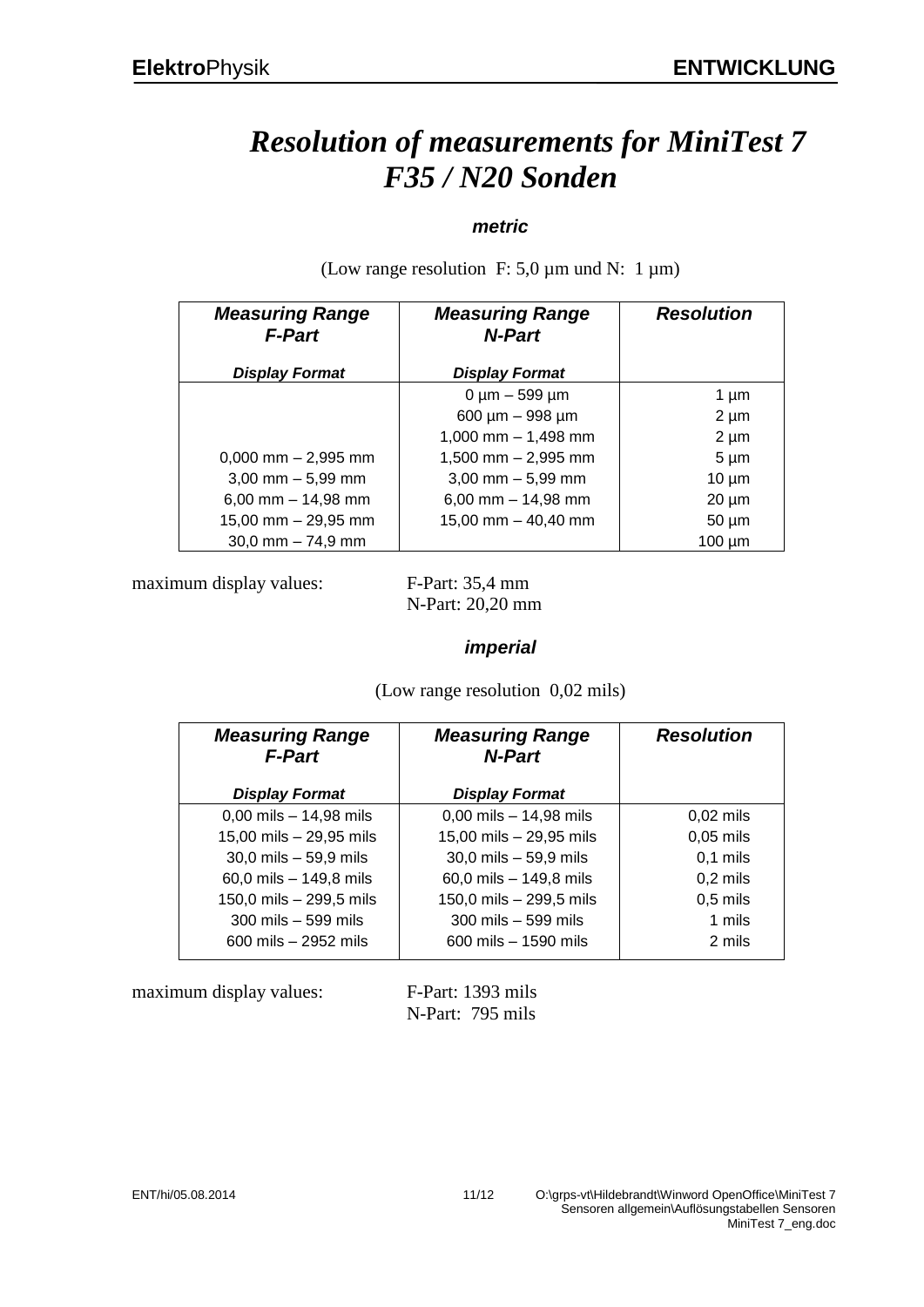# *Resolution of measurements for MiniTest 7 F35 / N20 Sonden*

### *metric*

*Measuring Range F-Part Display Format Measuring Range N-Part Display Format Resolution* 0,000 mm – 2,995 mm 3,00 mm – 5,99 mm 6,00 mm – 14,98 mm 15,00 mm – 29,95 mm 30,0 mm – 74,9 mm  $0 \mu m - 599 \mu m$ 600 µm – 998 µm 1,000 mm – 1,498 mm 1,500 mm – 2,995 mm 3,00 mm – 5,99 mm 6,00 mm – 14,98 mm 15,00 mm – 40,40 mm 1  $\mu$ m  $2 \mu m$  $2 \mu m$ 5 µm 10 µm 20 µm 50 µm 100 µm

(Low range resolution F: 5,0  $\mu$ m und N: 1  $\mu$ m)

maximum display values: F-Part: 35,4 mm

N-Part: 20,20 mm

#### *imperial*

(Low range resolution 0,02 mils)

| <b>Measuring Range</b><br><b>F-Part</b> | <b>Measuring Range</b><br><b>N-Part</b> | <b>Resolution</b> |
|-----------------------------------------|-----------------------------------------|-------------------|
| <b>Display Format</b>                   | <b>Display Format</b>                   |                   |
| $0,00$ mils $-14,98$ mils               | $0,00$ mils $-14,98$ mils               | $0,02$ mils       |
| 15,00 mils - 29,95 mils                 | 15,00 mils - 29,95 mils                 | $0,05$ mils       |
| $30,0$ mils $-59,9$ mils                | $30,0$ mils $-59,9$ mils                | $0,1$ mils        |
| 60,0 mils - 149,8 mils                  | 60,0 mils - 149,8 mils                  | $0,2$ mils        |
| 150,0 mils - 299,5 mils                 | 150,0 mils - 299,5 mils                 | $0,5$ mils        |
| 300 mils - 599 mils                     | 300 mils - 599 mils                     | 1 mils            |
| $600$ mils $-2952$ mils                 | $600$ mils $-1590$ mils                 | 2 mils            |

maximum display values: F-Part: 1393 mils

N-Part: 795 mils